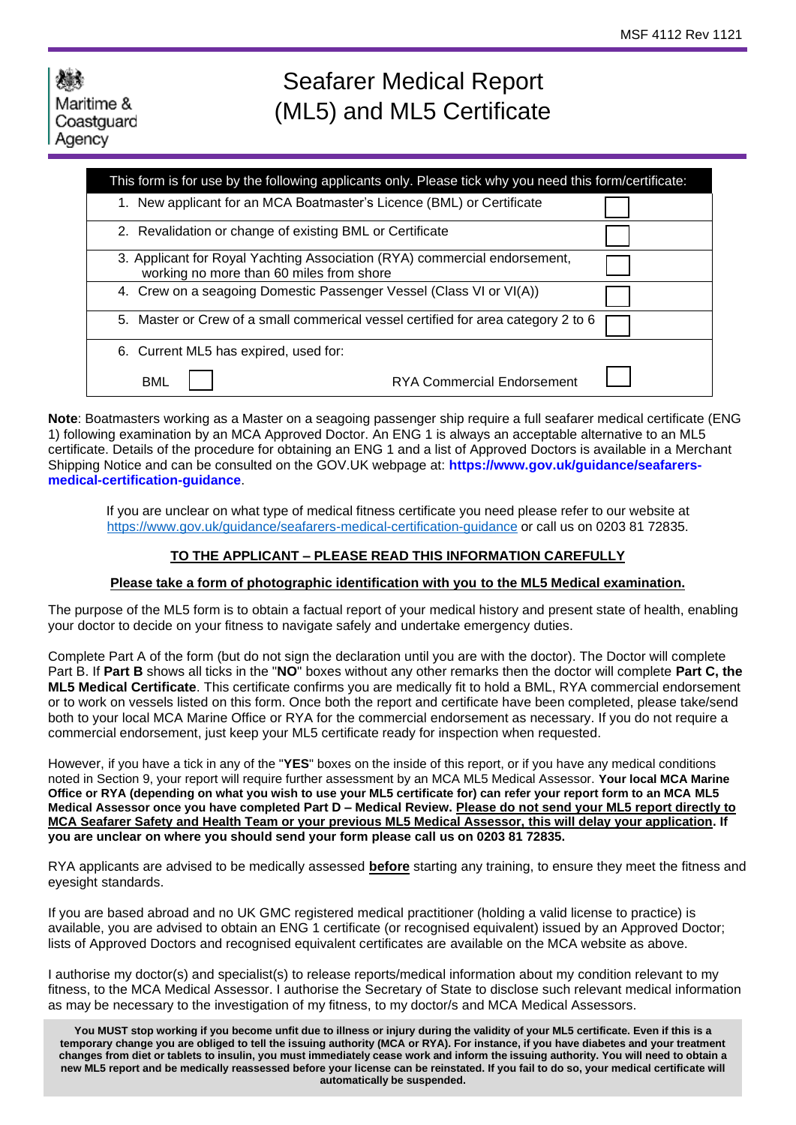Maritime & Coastguard Agency

# Seafarer Medical Report (ML5) and ML5 Certificate

| This form is for use by the following applicants only. Please tick why you need this form/certificate:                |  |
|-----------------------------------------------------------------------------------------------------------------------|--|
| 1. New applicant for an MCA Boatmaster's Licence (BML) or Certificate                                                 |  |
| 2. Revalidation or change of existing BML or Certificate                                                              |  |
| 3. Applicant for Royal Yachting Association (RYA) commercial endorsement,<br>working no more than 60 miles from shore |  |
| 4. Crew on a seagoing Domestic Passenger Vessel (Class VI or VI(A))                                                   |  |
| 5. Master or Crew of a small commerical vessel certified for area category 2 to 6                                     |  |
| 6. Current ML5 has expired, used for:                                                                                 |  |
| <b>RYA Commercial Endorsement</b><br>BML                                                                              |  |

**Note**: Boatmasters working as a Master on a seagoing passenger ship require a full seafarer medical certificate (ENG 1) following examination by an MCA Approved Doctor. An ENG 1 is always an acceptable alternative to an ML5 certificate. Details of the procedure for obtaining an ENG 1 and a list of Approved Doctors is available in a Merchant Shipping Notice and can be consulted on the GOV.UK webpage at: **htt[ps://ww](http://www.gov.uk/guidance/seafarers-)w.[gov.uk/guidance/seafarers](http://www.gov.uk/guidance/seafarers-)medical-certification-guidance**.

If you are unclear on what type of medical fitness certificate you need please refer to our website at <https://www.gov.uk/guidance/seafarers-medical-certification-guidance> or call us on 0203 81 72835.

### **TO THE APPLICANT – PLEASE READ THIS INFORMATION CAREFULLY**

#### **Please take a form of photographic identification with you to the ML5 Medical examination.**

The purpose of the ML5 form is to obtain a factual report of your medical history and present state of health, enabling your doctor to decide on your fitness to navigate safely and undertake emergency duties.

Complete Part A of the form (but do not sign the declaration until you are with the doctor). The Doctor will complete Part B. If **Part B** shows all ticks in the "**NO**" boxes without any other remarks then the doctor will complete **Part C, the ML5 Medical Certificate**. This certificate confirms you are medically fit to hold a BML, RYA commercial endorsement or to work on vessels listed on this form. Once both the report and certificate have been completed, please take/send both to your local MCA Marine Office or RYA for the commercial endorsement as necessary. If you do not require a commercial endorsement, just keep your ML5 certificate ready for inspection when requested.

However, if you have a tick in any of the "**YES**" boxes on the inside of this report, or if you have any medical conditions noted in Section 9, your report will require further assessment by an MCA ML5 Medical Assessor. **Your local MCA Marine Office or RYA (depending on what you wish to use your ML5 certificate for) can refer your report form to an MCA ML5 Medical Assessor once you have completed Part D – Medical Review. Please do not send your ML5 report directly to MCA Seafarer Safety and Health Team or your previous ML5 Medical Assessor, this will delay your application. If you are unclear on where you should send your form please call us on 0203 81 72835.**

RYA applicants are advised to be medically assessed **before** starting any training, to ensure they meet the fitness and eyesight standards.

If you are based abroad and no UK GMC registered medical practitioner (holding a valid license to practice) is available, you are advised to obtain an ENG 1 certificate (or recognised equivalent) issued by an Approved Doctor; lists of Approved Doctors and recognised equivalent certificates are available on the MCA website as above.

I authorise my doctor(s) and specialist(s) to release reports/medical information about my condition relevant to my fitness, to the MCA Medical Assessor. I authorise the Secretary of State to disclose such relevant medical information as may be necessary to the investigation of my fitness, to my doctor/s and MCA Medical Assessors.

changes from diet or tablets to insulin, you must immediately cease work and inform the issuing authority. You will need to obtain a new ML5 report and be medically reassessed before your license can be reinstated. If you fail to do so, your medical certificate will **You MUST stop working if you become unfit due to illness or injury during the validity of your ML5 certificate. Even if this is a temporary change you are obliged to tell the issuing authority (MCA or RYA). For instance, if you have diabetes and your treatment automatically be suspended.**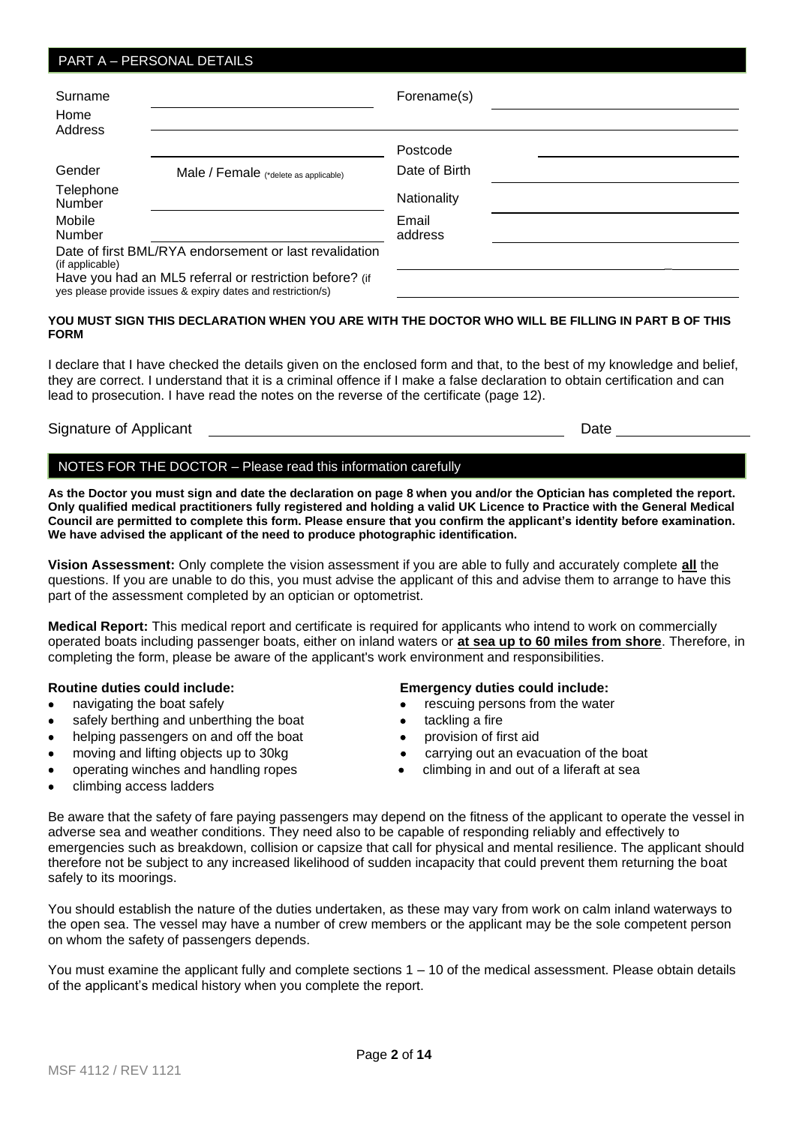|                                                                           | <u>FANI A – FENOVINAL DE I AILO</u>                                                                                    |                           |  |
|---------------------------------------------------------------------------|------------------------------------------------------------------------------------------------------------------------|---------------------------|--|
| Surname<br>Home<br>Address                                                |                                                                                                                        | Forename(s)               |  |
| Gender                                                                    |                                                                                                                        | Postcode<br>Date of Birth |  |
|                                                                           | Male / Female (*delete as applicable)                                                                                  |                           |  |
| Telephone<br>Number                                                       |                                                                                                                        | Nationality               |  |
| Mobile                                                                    |                                                                                                                        | Email                     |  |
| Number                                                                    |                                                                                                                        | address                   |  |
| Date of first BML/RYA endorsement or last revalidation<br>(if applicable) |                                                                                                                        |                           |  |
|                                                                           | Have you had an ML5 referral or restriction before? (if<br>yes please provide issues & expiry dates and restriction/s) |                           |  |

#### **YOU MUST SIGN THIS DECLARATION WHEN YOU ARE WITH THE DOCTOR WHO WILL BE FILLING IN PART B OF THIS FORM**

I declare that I have checked the details given on the enclosed form and that, to the best of my knowledge and belief, they are correct. I understand that it is a criminal offence if I make a false declaration to obtain certification and can lead to prosecution. I have read the notes on the reverse of the certificate (page 12).

Signature of Applicant Date

PART A – PERSONAL DETAILS

#### NOTES FOR THE DOCTOR – Please read this information carefully

As the Doctor you must sign and date the declaration on page 8 when you and/or the Optician has completed the report. **Only qualified medical practitioners fully registered and holding a valid UK Licence to Practice with the General Medical Council are permitted to complete this form. Please ensure that you confirm the applicant's identity before examination. We have advised the applicant of the need to produce photographic identification.**

**Vision Assessment:** Only complete the vision assessment if you are able to fully and accurately complete **all** the questions. If you are unable to do this, you must advise the applicant of this and advise them to arrange to have this part of the assessment completed by an optician or optometrist.

**Medical Report:** This medical report and certificate is required for applicants who intend to work on commercially operated boats including passenger boats, either on inland waters or **at sea up to 60 miles from shore**. Therefore, in completing the form, please be aware of the applicant's work environment and responsibilities.

#### **Routine duties could include: Emergency duties could include:**

- navigating the boat safely rescuing persons from the water
- safely berthing and unberthing the boat tackling a fire
- helping passengers on and off the boat provision of first aid
- 
- 

- 
- 
- moving and lifting objects up to 30kg carrying out an evacuation of the boat
- operating winches and handling ropes climbing in and out of a liferaft at sea
- climbing access ladders

Be aware that the safety of fare paying passengers may depend on the fitness of the applicant to operate the vessel in adverse sea and weather conditions. They need also to be capable of responding reliably and effectively to emergencies such as breakdown, collision or capsize that call for physical and mental resilience. The applicant should therefore not be subject to any increased likelihood of sudden incapacity that could prevent them returning the boat safely to its moorings.

You should establish the nature of the duties undertaken, as these may vary from work on calm inland waterways to the open sea. The vessel may have a number of crew members or the applicant may be the sole competent person on whom the safety of passengers depends.

You must examine the applicant fully and complete sections  $1 - 10$  of the medical assessment. Please obtain details of the applicant's medical history when you complete the report.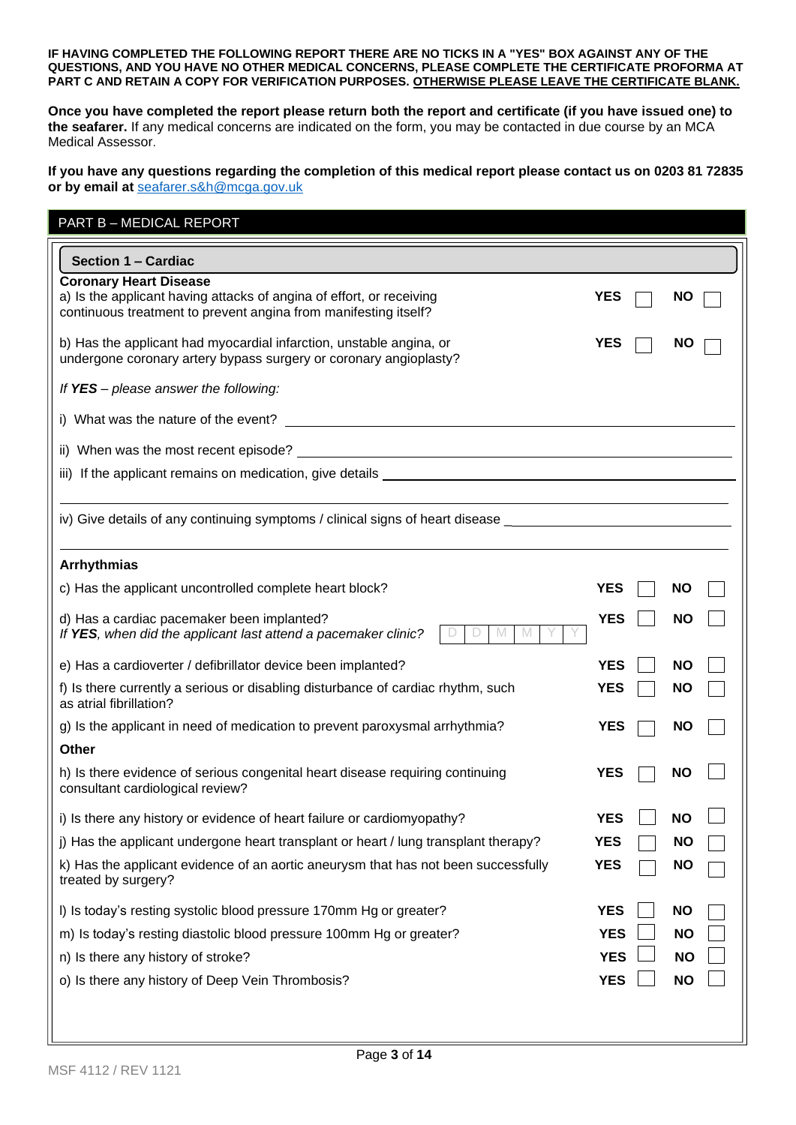#### **IF HAVING COMPLETED THE FOLLOWING REPORT THERE ARE NO TICKS IN A "YES" BOX AGAINST ANY OF THE QUESTIONS, AND YOU HAVE NO OTHER MEDICAL CONCERNS, PLEASE COMPLETE THE CERTIFICATE PROFORMA AT PART C AND RETAIN A COPY FOR VERIFICATION PURPOSES. OTHERWISE PLEASE LEAVE THE CERTIFICATE BLANK.**

**Once you have completed the report please return both the report and certificate (if you have issued one) to the seafarer.** If any medical concerns are indicated on the form, you may be contacted in due course by an MCA Medical Assessor.

#### **If you have any questions regarding the completion of this medical report please contact us on 0203 81 72835 or by email at** [seafarer.s&h@mcga.gov.uk](mailto:seafarer.s%26h@mcga.gov.uk)

| PART B - MEDICAL REPORT                                                                                                                                                                                                                                                      |            |           |  |
|------------------------------------------------------------------------------------------------------------------------------------------------------------------------------------------------------------------------------------------------------------------------------|------------|-----------|--|
| Section 1 - Cardiac                                                                                                                                                                                                                                                          |            |           |  |
| <b>Coronary Heart Disease</b><br>a) Is the applicant having attacks of angina of effort, or receiving<br>continuous treatment to prevent angina from manifesting itself?                                                                                                     | <b>YES</b> | ΝO        |  |
| b) Has the applicant had myocardial infarction, unstable angina, or<br>undergone coronary artery bypass surgery or coronary angioplasty?                                                                                                                                     | <b>YES</b> | NO        |  |
| If $YES$ – please answer the following:                                                                                                                                                                                                                                      |            |           |  |
| i) What was the nature of the event?<br><u>and the contract of the contract of the contract of the contract of the contract of the contract of the contract of the contract of the contract of the contract of the contract of the contract of the contract of the contr</u> |            |           |  |
|                                                                                                                                                                                                                                                                              |            |           |  |
|                                                                                                                                                                                                                                                                              |            |           |  |
| iv) Give details of any continuing symptoms / clinical signs of heart disease ________________________________                                                                                                                                                               |            |           |  |
| <b>Arrhythmias</b>                                                                                                                                                                                                                                                           |            |           |  |
| c) Has the applicant uncontrolled complete heart block?                                                                                                                                                                                                                      | <b>YES</b> | <b>NO</b> |  |
| d) Has a cardiac pacemaker been implanted?<br>If YES, when did the applicant last attend a pacemaker clinic?<br>M                                                                                                                                                            | <b>YES</b> | ΝO        |  |
| e) Has a cardioverter / defibrillator device been implanted?                                                                                                                                                                                                                 | YES        | <b>NO</b> |  |
| f) Is there currently a serious or disabling disturbance of cardiac rhythm, such<br>as atrial fibrillation?                                                                                                                                                                  | YES        | <b>NO</b> |  |
| g) Is the applicant in need of medication to prevent paroxysmal arrhythmia?<br><b>Other</b>                                                                                                                                                                                  | <b>YES</b> | <b>NO</b> |  |
| h) Is there evidence of serious congenital heart disease requiring continuing<br>consultant cardiological review?                                                                                                                                                            | YES        | NO        |  |
| i) Is there any history or evidence of heart failure or cardiomyopathy?                                                                                                                                                                                                      | <b>YES</b> | <b>NO</b> |  |
| j) Has the applicant undergone heart transplant or heart / lung transplant therapy?                                                                                                                                                                                          | <b>YES</b> | <b>NO</b> |  |
| k) Has the applicant evidence of an aortic aneurysm that has not been successfully<br>treated by surgery?                                                                                                                                                                    | <b>YES</b> | <b>NO</b> |  |
| I) Is today's resting systolic blood pressure 170mm Hg or greater?                                                                                                                                                                                                           | <b>YES</b> | <b>NO</b> |  |
| m) Is today's resting diastolic blood pressure 100mm Hg or greater?                                                                                                                                                                                                          | <b>YES</b> | <b>NO</b> |  |
| n) Is there any history of stroke?                                                                                                                                                                                                                                           | <b>YES</b> | <b>NO</b> |  |
| o) Is there any history of Deep Vein Thrombosis?                                                                                                                                                                                                                             | <b>YES</b> | <b>NO</b> |  |
|                                                                                                                                                                                                                                                                              |            |           |  |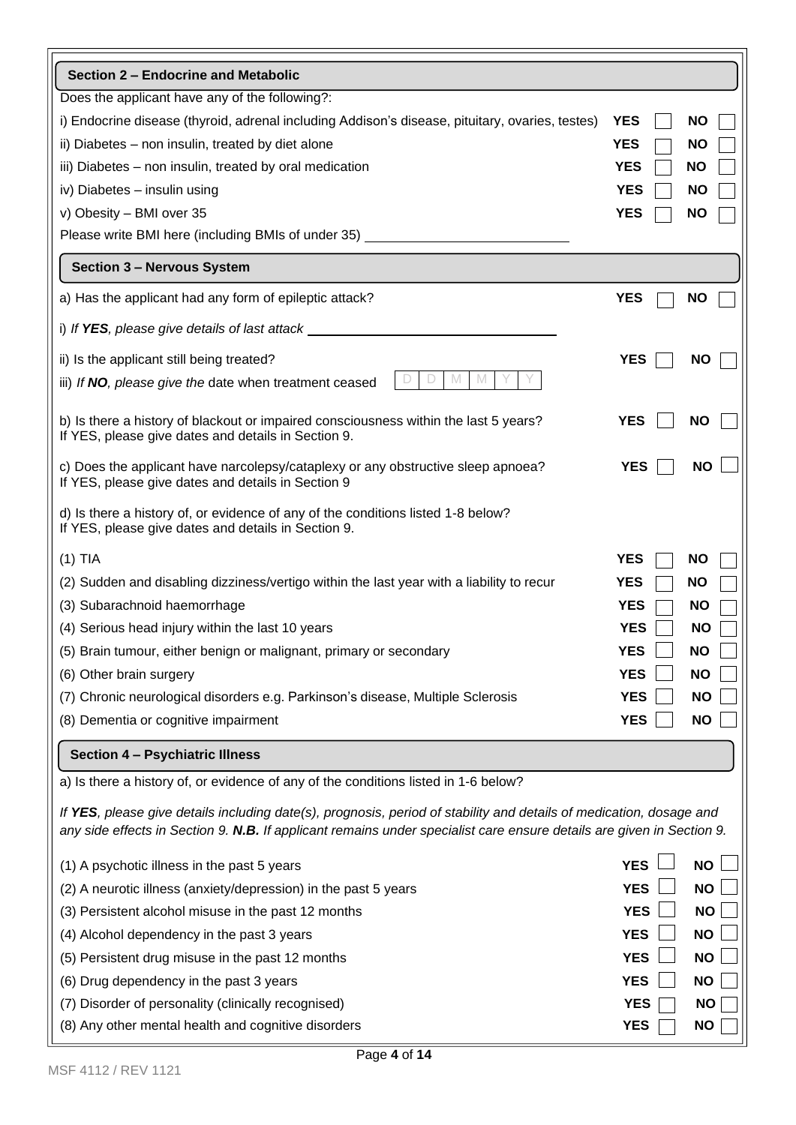| Section 2 - Endocrine and Metabolic                                                                                                                                                                                                          |                          |           |
|----------------------------------------------------------------------------------------------------------------------------------------------------------------------------------------------------------------------------------------------|--------------------------|-----------|
| Does the applicant have any of the following?:                                                                                                                                                                                               |                          |           |
|                                                                                                                                                                                                                                              |                          |           |
| i) Endocrine disease (thyroid, adrenal including Addison's disease, pituitary, ovaries, testes)<br>ii) Diabetes - non insulin, treated by diet alone                                                                                         | <b>YES</b><br><b>YES</b> | <b>NO</b> |
|                                                                                                                                                                                                                                              |                          | <b>NO</b> |
| iii) Diabetes – non insulin, treated by oral medication                                                                                                                                                                                      | <b>YES</b>               | <b>NO</b> |
| iv) Diabetes - insulin using                                                                                                                                                                                                                 | <b>YES</b>               | <b>NO</b> |
| v) Obesity - BMI over 35                                                                                                                                                                                                                     | <b>YES</b>               | <b>NO</b> |
| Please write BMI here (including BMIs of under 35) ___                                                                                                                                                                                       |                          |           |
| <b>Section 3 - Nervous System</b>                                                                                                                                                                                                            |                          |           |
| a) Has the applicant had any form of epileptic attack?                                                                                                                                                                                       | <b>YES</b>               | <b>NO</b> |
| i) If YES, please give details of last attack _                                                                                                                                                                                              |                          |           |
| ii) Is the applicant still being treated?                                                                                                                                                                                                    | <b>YES</b>               | <b>NO</b> |
| M<br>iii) If NO, please give the date when treatment ceased                                                                                                                                                                                  |                          |           |
| b) Is there a history of blackout or impaired consciousness within the last 5 years?<br>If YES, please give dates and details in Section 9.                                                                                                  | <b>YES</b>               | <b>NO</b> |
| c) Does the applicant have narcolepsy/cataplexy or any obstructive sleep apnoea?<br>If YES, please give dates and details in Section 9                                                                                                       | <b>YES</b>               | <b>NO</b> |
| d) Is there a history of, or evidence of any of the conditions listed 1-8 below?<br>If YES, please give dates and details in Section 9.                                                                                                      |                          |           |
| $(1)$ TIA                                                                                                                                                                                                                                    | <b>YES</b>               | <b>NO</b> |
| (2) Sudden and disabling dizziness/vertigo within the last year with a liability to recur                                                                                                                                                    | <b>YES</b>               | <b>NO</b> |
| (3) Subarachnoid haemorrhage                                                                                                                                                                                                                 | <b>YES</b>               | <b>NO</b> |
| (4) Serious head injury within the last 10 years                                                                                                                                                                                             | <b>YES</b>               | <b>NO</b> |
| (5) Brain tumour, either benign or malignant, primary or secondary                                                                                                                                                                           | <b>YES</b>               | <b>NO</b> |
| (6) Other brain surgery                                                                                                                                                                                                                      | <b>YES</b>               | <b>NO</b> |
| (7) Chronic neurological disorders e.g. Parkinson's disease, Multiple Sclerosis                                                                                                                                                              | <b>YES</b>               | <b>NO</b> |
| (8) Dementia or cognitive impairment                                                                                                                                                                                                         | <b>YES</b>               | <b>NO</b> |
| <b>Section 4 - Psychiatric Illness</b>                                                                                                                                                                                                       |                          |           |
| a) Is there a history of, or evidence of any of the conditions listed in 1-6 below?                                                                                                                                                          |                          |           |
|                                                                                                                                                                                                                                              |                          |           |
| If YES, please give details including date(s), prognosis, period of stability and details of medication, dosage and<br>any side effects in Section 9. N.B. If applicant remains under specialist care ensure details are given in Section 9. |                          |           |
| (1) A psychotic illness in the past 5 years                                                                                                                                                                                                  | <b>YES</b>               | <b>NO</b> |
| (2) A neurotic illness (anxiety/depression) in the past 5 years                                                                                                                                                                              | <b>YES</b>               | <b>NO</b> |
| (3) Persistent alcohol misuse in the past 12 months                                                                                                                                                                                          | <b>YES</b>               | <b>NO</b> |
| (4) Alcohol dependency in the past 3 years                                                                                                                                                                                                   | <b>YES</b>               | <b>NO</b> |
| (5) Persistent drug misuse in the past 12 months                                                                                                                                                                                             | <b>YES</b>               | <b>NO</b> |
| (6) Drug dependency in the past 3 years                                                                                                                                                                                                      | <b>YES</b>               | <b>NO</b> |
| (7) Disorder of personality (clinically recognised)                                                                                                                                                                                          | <b>YES</b>               | <b>NO</b> |
| (8) Any other mental health and cognitive disorders                                                                                                                                                                                          | <b>YES</b>               | <b>NO</b> |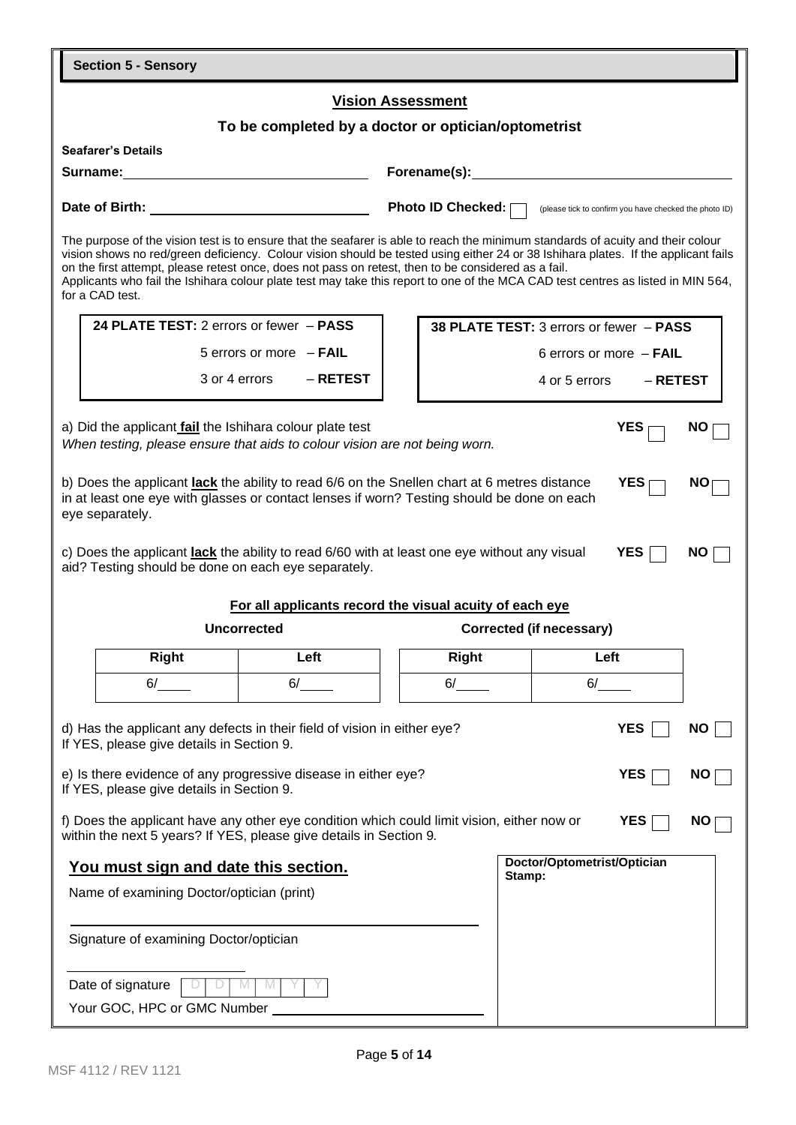| <b>Section 5 - Sensory</b>                                                                                                                                                                                                                                                                                                                                                                                                                                                                                                          |                                                                          |                                                                                 |        |                                         |            |                                                |  |  |  |
|-------------------------------------------------------------------------------------------------------------------------------------------------------------------------------------------------------------------------------------------------------------------------------------------------------------------------------------------------------------------------------------------------------------------------------------------------------------------------------------------------------------------------------------|--------------------------------------------------------------------------|---------------------------------------------------------------------------------|--------|-----------------------------------------|------------|------------------------------------------------|--|--|--|
| <b>Vision Assessment</b>                                                                                                                                                                                                                                                                                                                                                                                                                                                                                                            |                                                                          |                                                                                 |        |                                         |            |                                                |  |  |  |
|                                                                                                                                                                                                                                                                                                                                                                                                                                                                                                                                     | To be completed by a doctor or optician/optometrist                      |                                                                                 |        |                                         |            |                                                |  |  |  |
| <b>Seafarer's Details</b>                                                                                                                                                                                                                                                                                                                                                                                                                                                                                                           |                                                                          |                                                                                 |        |                                         |            |                                                |  |  |  |
| Surname:                                                                                                                                                                                                                                                                                                                                                                                                                                                                                                                            |                                                                          | Forename(s): <u>containing</u>                                                  |        |                                         |            |                                                |  |  |  |
|                                                                                                                                                                                                                                                                                                                                                                                                                                                                                                                                     |                                                                          | <b>Photo ID Checked:</b> (please tick to confirm you have checked the photo ID) |        |                                         |            |                                                |  |  |  |
| The purpose of the vision test is to ensure that the seafarer is able to reach the minimum standards of acuity and their colour<br>vision shows no red/green deficiency. Colour vision should be tested using either 24 or 38 Ishihara plates. If the applicant fails<br>on the first attempt, please retest once, does not pass on retest, then to be considered as a fail.<br>Applicants who fail the Ishihara colour plate test may take this report to one of the MCA CAD test centres as listed in MIN 564,<br>for a CAD test. |                                                                          |                                                                                 |        |                                         |            |                                                |  |  |  |
| 24 PLATE TEST: 2 errors or fewer - PASS                                                                                                                                                                                                                                                                                                                                                                                                                                                                                             |                                                                          |                                                                                 |        | 38 PLATE TEST: 3 errors or fewer - PASS |            |                                                |  |  |  |
|                                                                                                                                                                                                                                                                                                                                                                                                                                                                                                                                     | 5 errors or more $-$ <b>FAIL</b>                                         |                                                                                 |        | 6 errors or more $-$ FAIL               |            |                                                |  |  |  |
|                                                                                                                                                                                                                                                                                                                                                                                                                                                                                                                                     | 3 or 4 errors<br>$-$ RETEST                                              |                                                                                 |        | 4 or 5 errors                           | $-$ RETEST |                                                |  |  |  |
| a) Did the applicant fail the Ishihara colour plate test<br>When testing, please ensure that aids to colour vision are not being worn.                                                                                                                                                                                                                                                                                                                                                                                              |                                                                          |                                                                                 |        | <b>YES</b>                              |            | <b>NO</b>                                      |  |  |  |
| b) Does the applicant lack the ability to read 6/6 on the Snellen chart at 6 metres distance<br><b>YES</b><br>NΟ<br>in at least one eye with glasses or contact lenses if worn? Testing should be done on each<br>eye separately.                                                                                                                                                                                                                                                                                                   |                                                                          |                                                                                 |        |                                         |            |                                                |  |  |  |
| c) Does the applicant lack the ability to read 6/60 with at least one eye without any visual<br>aid? Testing should be done on each eye separately.                                                                                                                                                                                                                                                                                                                                                                                 |                                                                          |                                                                                 |        | YES                                     |            | <b>NO</b>                                      |  |  |  |
|                                                                                                                                                                                                                                                                                                                                                                                                                                                                                                                                     | For all applicants record the visual acuity of each eye                  |                                                                                 |        |                                         |            |                                                |  |  |  |
|                                                                                                                                                                                                                                                                                                                                                                                                                                                                                                                                     |                                                                          |                                                                                 |        |                                         |            | <b>Uncorrected</b><br>Corrected (if necessary) |  |  |  |
| <b>Right</b>                                                                                                                                                                                                                                                                                                                                                                                                                                                                                                                        | Left                                                                     | <b>Right</b>                                                                    |        | Left                                    |            |                                                |  |  |  |
| 6/                                                                                                                                                                                                                                                                                                                                                                                                                                                                                                                                  | 6/                                                                       | 6/                                                                              |        |                                         |            |                                                |  |  |  |
|                                                                                                                                                                                                                                                                                                                                                                                                                                                                                                                                     |                                                                          |                                                                                 |        | 6/                                      |            |                                                |  |  |  |
| If YES, please give details in Section 9.                                                                                                                                                                                                                                                                                                                                                                                                                                                                                           | d) Has the applicant any defects in their field of vision in either eye? |                                                                                 |        | <b>YES</b>                              |            | <b>NO</b>                                      |  |  |  |
| e) Is there evidence of any progressive disease in either eye?<br>If YES, please give details in Section 9.                                                                                                                                                                                                                                                                                                                                                                                                                         |                                                                          |                                                                                 |        | <b>YES</b>                              |            | NO                                             |  |  |  |
| f) Does the applicant have any other eye condition which could limit vision, either now or<br>within the next 5 years? If YES, please give details in Section 9.                                                                                                                                                                                                                                                                                                                                                                    |                                                                          |                                                                                 |        | <b>YES</b>                              |            | NO.                                            |  |  |  |
| You must sign and date this section.<br>Name of examining Doctor/optician (print)                                                                                                                                                                                                                                                                                                                                                                                                                                                   |                                                                          |                                                                                 | Stamp: | Doctor/Optometrist/Optician             |            |                                                |  |  |  |
| Signature of examining Doctor/optician                                                                                                                                                                                                                                                                                                                                                                                                                                                                                              |                                                                          |                                                                                 |        |                                         |            |                                                |  |  |  |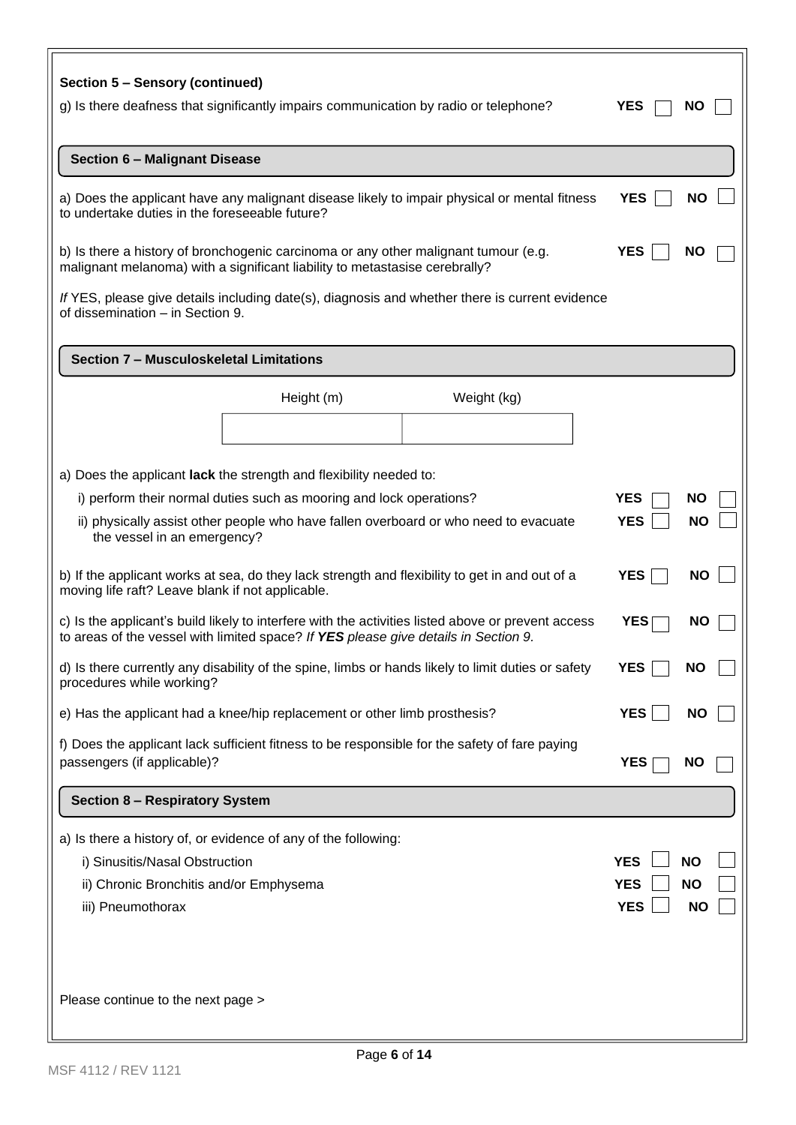| Section 5 - Sensory (continued)<br>g) Is there deafness that significantly impairs communication by radio or telephone?                            |                                                                                                                                                                    |                                                                                                    |            | NO        |  |
|----------------------------------------------------------------------------------------------------------------------------------------------------|--------------------------------------------------------------------------------------------------------------------------------------------------------------------|----------------------------------------------------------------------------------------------------|------------|-----------|--|
| Section 6 - Malignant Disease                                                                                                                      |                                                                                                                                                                    |                                                                                                    |            |           |  |
| to undertake duties in the foreseeable future?                                                                                                     |                                                                                                                                                                    | a) Does the applicant have any malignant disease likely to impair physical or mental fitness       | <b>YES</b> | <b>NO</b> |  |
|                                                                                                                                                    | b) Is there a history of bronchogenic carcinoma or any other malignant tumour (e.g.<br>malignant melanoma) with a significant liability to metastasise cerebrally? |                                                                                                    | <b>YES</b> | NO        |  |
| of dissemination - in Section 9.                                                                                                                   |                                                                                                                                                                    | If YES, please give details including date(s), diagnosis and whether there is current evidence     |            |           |  |
| Section 7 - Musculoskeletal Limitations                                                                                                            |                                                                                                                                                                    |                                                                                                    |            |           |  |
|                                                                                                                                                    | Height (m)                                                                                                                                                         | Weight (kg)                                                                                        |            |           |  |
|                                                                                                                                                    |                                                                                                                                                                    |                                                                                                    |            |           |  |
|                                                                                                                                                    | a) Does the applicant lack the strength and flexibility needed to:                                                                                                 |                                                                                                    |            |           |  |
|                                                                                                                                                    | i) perform their normal duties such as mooring and lock operations?                                                                                                |                                                                                                    | <b>YES</b> | NΟ        |  |
| the vessel in an emergency?                                                                                                                        | ii) physically assist other people who have fallen overboard or who need to evacuate                                                                               |                                                                                                    | <b>YES</b> | <b>NO</b> |  |
| b) If the applicant works at sea, do they lack strength and flexibility to get in and out of a<br>moving life raft? Leave blank if not applicable. |                                                                                                                                                                    |                                                                                                    |            | NO        |  |
|                                                                                                                                                    | to areas of the vessel with limited space? If YES please give details in Section 9.                                                                                | c) Is the applicant's build likely to interfere with the activities listed above or prevent access | <b>YES</b> | NO        |  |
| d) Is there currently any disability of the spine, limbs or hands likely to limit duties or safety<br>procedures while working?                    |                                                                                                                                                                    |                                                                                                    | <b>YES</b> | <b>NO</b> |  |
|                                                                                                                                                    | e) Has the applicant had a knee/hip replacement or other limb prosthesis?                                                                                          |                                                                                                    | <b>YES</b> | <b>NO</b> |  |
| passengers (if applicable)?                                                                                                                        | f) Does the applicant lack sufficient fitness to be responsible for the safety of fare paying                                                                      |                                                                                                    | <b>YES</b> | <b>NO</b> |  |
| <b>Section 8 - Respiratory System</b>                                                                                                              |                                                                                                                                                                    |                                                                                                    |            |           |  |
|                                                                                                                                                    | a) Is there a history of, or evidence of any of the following:                                                                                                     |                                                                                                    |            |           |  |
| i) Sinusitis/Nasal Obstruction                                                                                                                     |                                                                                                                                                                    |                                                                                                    | <b>YES</b> | <b>NO</b> |  |
| ii) Chronic Bronchitis and/or Emphysema                                                                                                            |                                                                                                                                                                    |                                                                                                    | <b>YES</b> | <b>NO</b> |  |
| iii) Pneumothorax                                                                                                                                  | <b>YES</b>                                                                                                                                                         | <b>NO</b>                                                                                          |            |           |  |
|                                                                                                                                                    |                                                                                                                                                                    |                                                                                                    |            |           |  |
| Please continue to the next page >                                                                                                                 |                                                                                                                                                                    |                                                                                                    |            |           |  |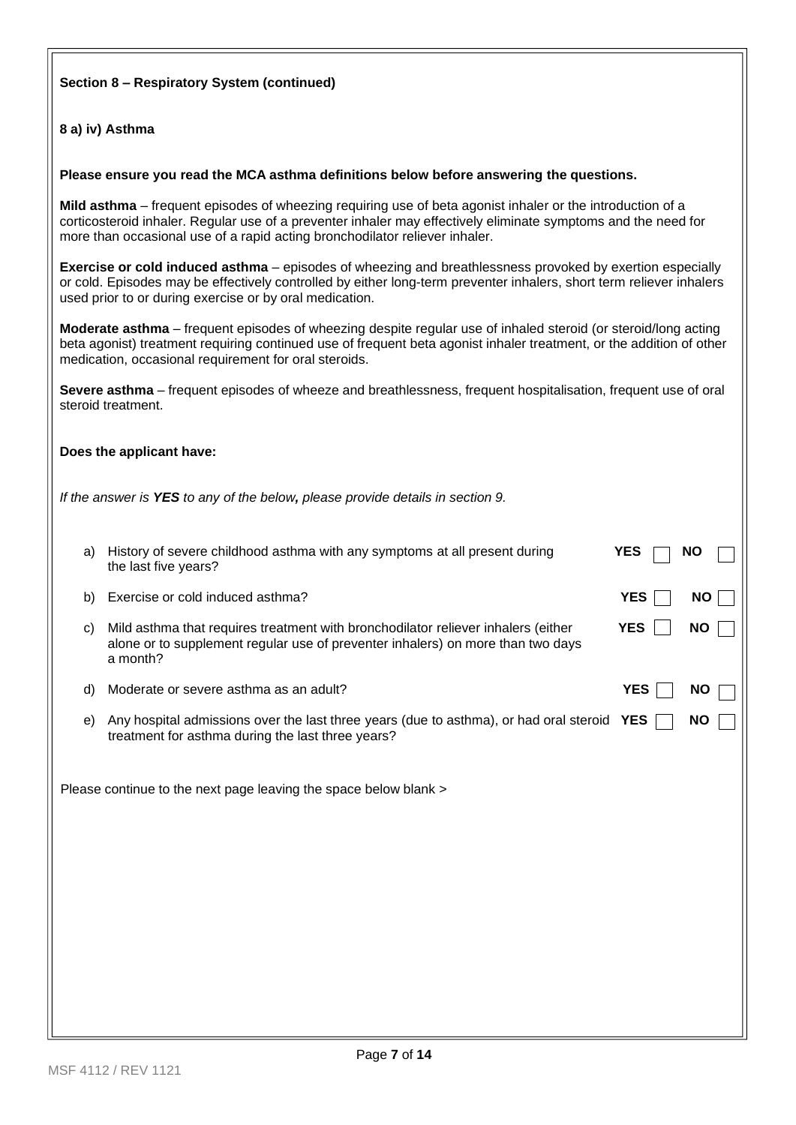#### **Section 8 – Respiratory System (continued)**

#### **8 a) iv) Asthma**

#### **Please ensure you read the MCA asthma definitions below before answering the questions.**

**Mild asthma** – frequent episodes of wheezing requiring use of beta agonist inhaler or the introduction of a corticosteroid inhaler. Regular use of a preventer inhaler may effectively eliminate symptoms and the need for more than occasional use of a rapid acting bronchodilator reliever inhaler.

**Exercise or cold induced asthma** – episodes of wheezing and breathlessness provoked by exertion especially or cold. Episodes may be effectively controlled by either long-term preventer inhalers, short term reliever inhalers used prior to or during exercise or by oral medication.

**Moderate asthma** – frequent episodes of wheezing despite regular use of inhaled steroid (or steroid/long acting beta agonist) treatment requiring continued use of frequent beta agonist inhaler treatment, or the addition of other medication, occasional requirement for oral steroids.

**Severe asthma** – frequent episodes of wheeze and breathlessness, frequent hospitalisation, frequent use of oral steroid treatment.

#### **Does the applicant have:**

*If the answer is YES to any of the below, please provide details in section 9.*

| a) History of severe childhood asthma with any symptoms at all present during | YES $\Box$ NO |
|-------------------------------------------------------------------------------|---------------|
| the last five years?                                                          |               |

- b) Exercise or cold induced asthma? **YES NO**
- c) Mild asthma that requires treatment with bronchodilator reliever inhalers (either **YES** | NO alone or to supplement regular use of preventer inhalers) on more than two days a month?
- d) Moderate or severe asthma as an adult? **YES NO**
- e) Any hospital admissions over the last three years (due to asthma), or had oral steroid **YES NO** treatment for asthma during the last three years?

Please continue to the next page leaving the space below blank >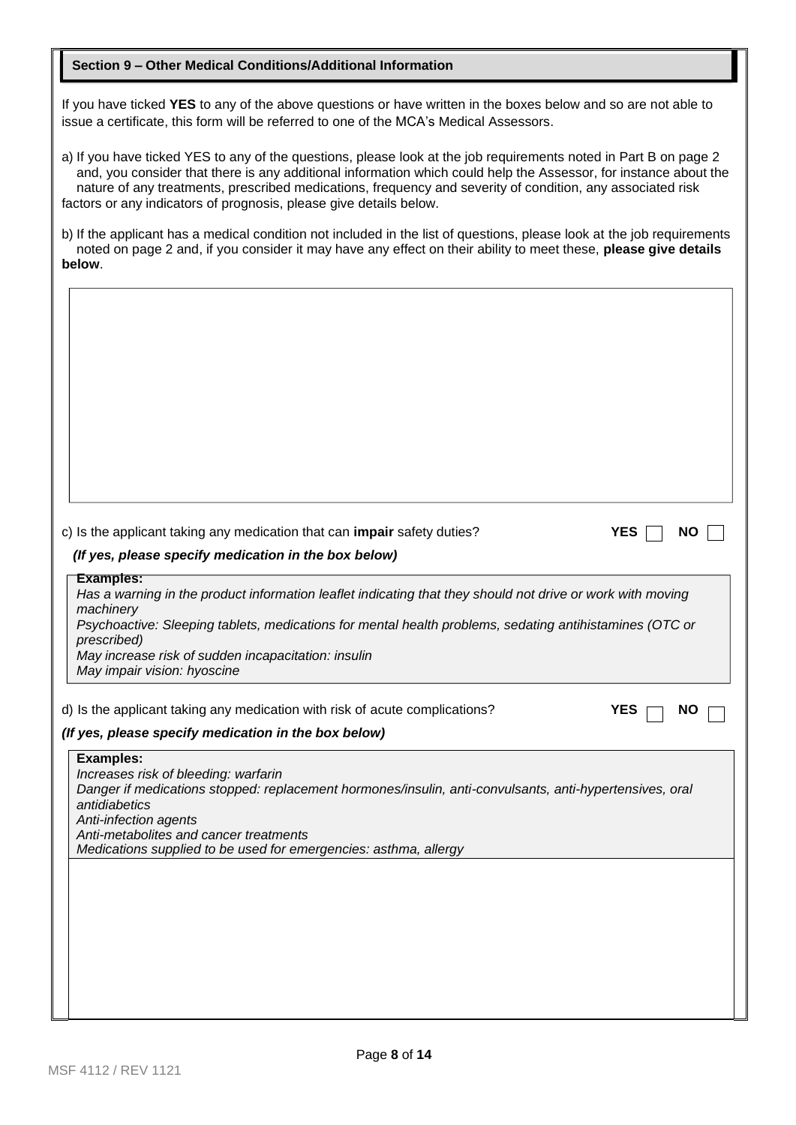#### **Section 9 – Other Medical Conditions/Additional Information**

If you have ticked **YES** to any of the above questions or have written in the boxes below and so are not able to issue a certificate, this form will be referred to one of the MCA's Medical Assessors.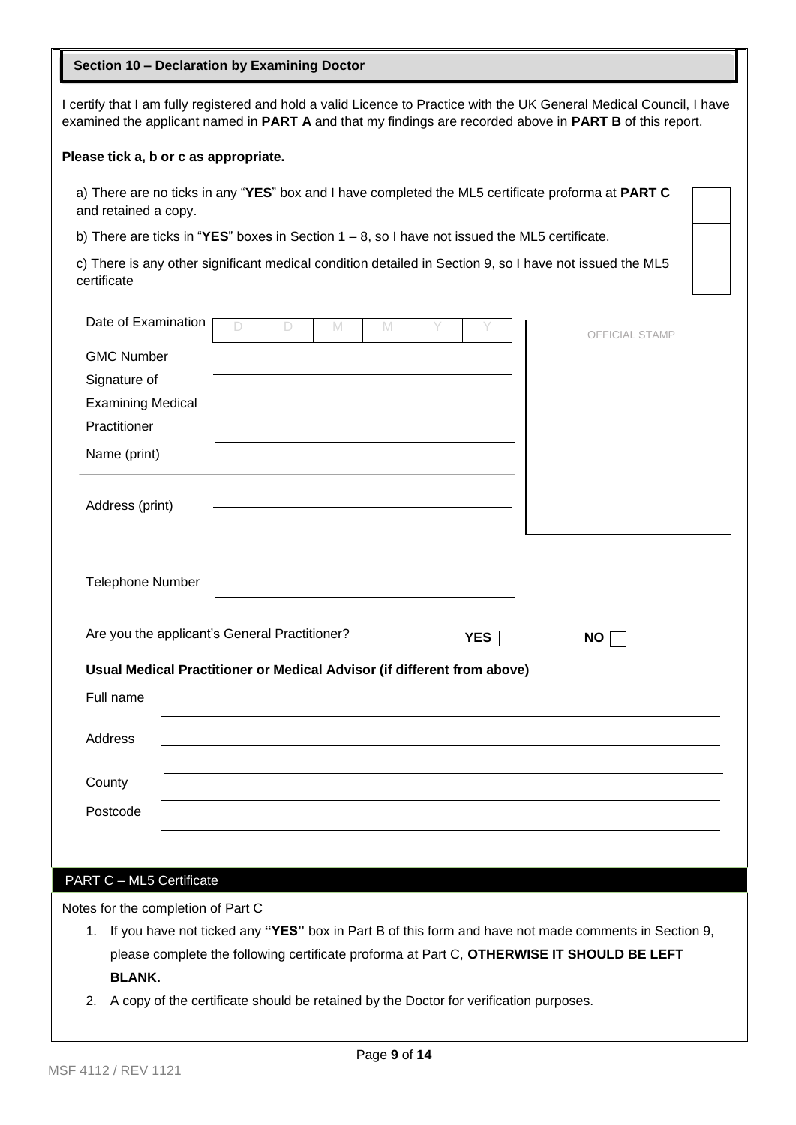| Section 10 - Declaration by Examining Doctor                                                                                                                                                                                      |                |  |  |
|-----------------------------------------------------------------------------------------------------------------------------------------------------------------------------------------------------------------------------------|----------------|--|--|
| I certify that I am fully registered and hold a valid Licence to Practice with the UK General Medical Council, I have<br>examined the applicant named in PART A and that my findings are recorded above in PART B of this report. |                |  |  |
| Please tick a, b or c as appropriate.                                                                                                                                                                                             |                |  |  |
| a) There are no ticks in any "YES" box and I have completed the ML5 certificate proforma at PART C<br>and retained a copy.                                                                                                        |                |  |  |
| b) There are ticks in "YES" boxes in Section $1 - 8$ , so I have not issued the ML5 certificate.                                                                                                                                  |                |  |  |
| c) There is any other significant medical condition detailed in Section 9, so I have not issued the ML5<br>certificate                                                                                                            |                |  |  |
| Date of Examination<br>D<br>D<br>M<br>M<br>Y                                                                                                                                                                                      | OFFICIAL STAMP |  |  |
| <b>GMC Number</b>                                                                                                                                                                                                                 |                |  |  |
| Signature of                                                                                                                                                                                                                      |                |  |  |
| <b>Examining Medical</b>                                                                                                                                                                                                          |                |  |  |
| Practitioner                                                                                                                                                                                                                      |                |  |  |
| Name (print)                                                                                                                                                                                                                      |                |  |  |
| Address (print)                                                                                                                                                                                                                   |                |  |  |
| <b>Telephone Number</b>                                                                                                                                                                                                           |                |  |  |
| Are you the applicant's General Practitioner?<br><b>YES</b>                                                                                                                                                                       | NO.            |  |  |
| Usual Medical Practitioner or Medical Advisor (if different from above)                                                                                                                                                           |                |  |  |
| Full name                                                                                                                                                                                                                         |                |  |  |
| Address<br><u> 1989 - Johann Harry Harry Harry Harry Harry Harry Harry Harry Harry Harry Harry Harry Harry Harry Harry Harry</u>                                                                                                  |                |  |  |
| County                                                                                                                                                                                                                            |                |  |  |
| Postcode                                                                                                                                                                                                                          |                |  |  |
|                                                                                                                                                                                                                                   |                |  |  |
|                                                                                                                                                                                                                                   |                |  |  |
| PART C - ML5 Certificate                                                                                                                                                                                                          |                |  |  |
| Notes for the completion of Part C                                                                                                                                                                                                |                |  |  |
| If you have not ticked any "YES" box in Part B of this form and have not made comments in Section 9,<br>1.<br>please complete the following certificate proforma at Part C, OTHERWISE IT SHOULD BE LEFT                           |                |  |  |
| <b>BLANK.</b>                                                                                                                                                                                                                     |                |  |  |
| A copy of the certificate should be retained by the Doctor for verification purposes.<br>2.                                                                                                                                       |                |  |  |
|                                                                                                                                                                                                                                   |                |  |  |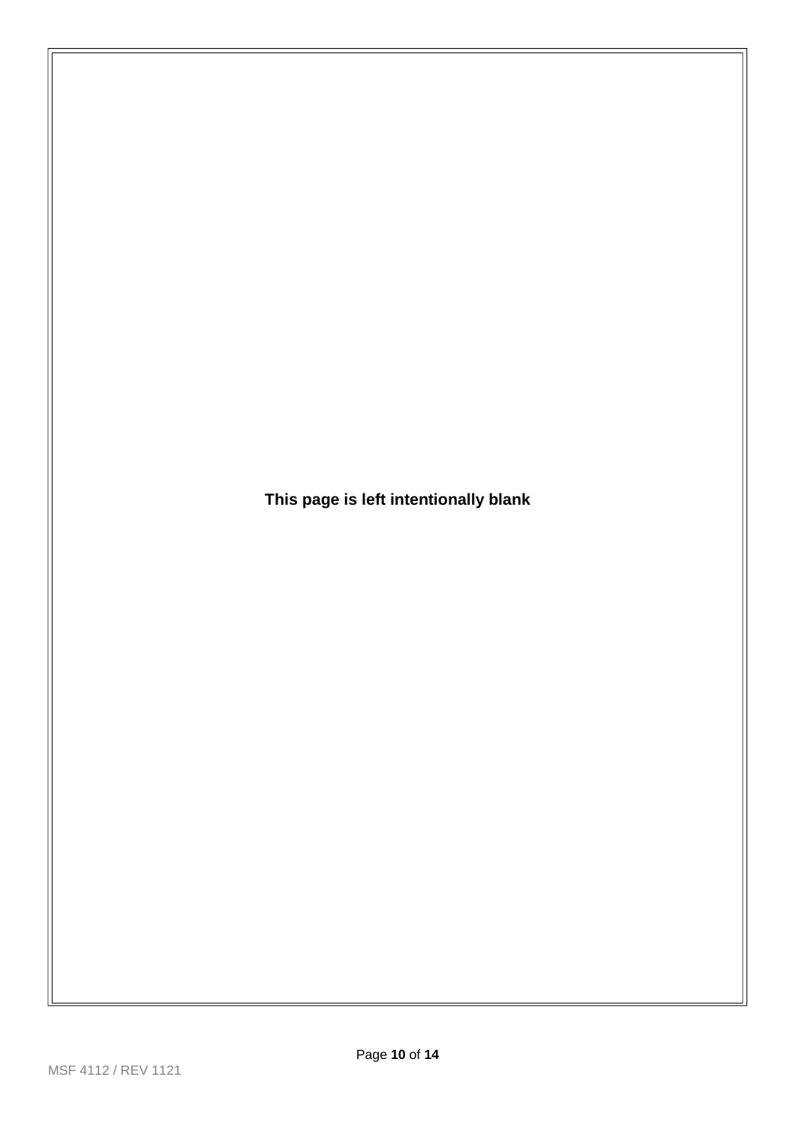**This page is left intentionally blank**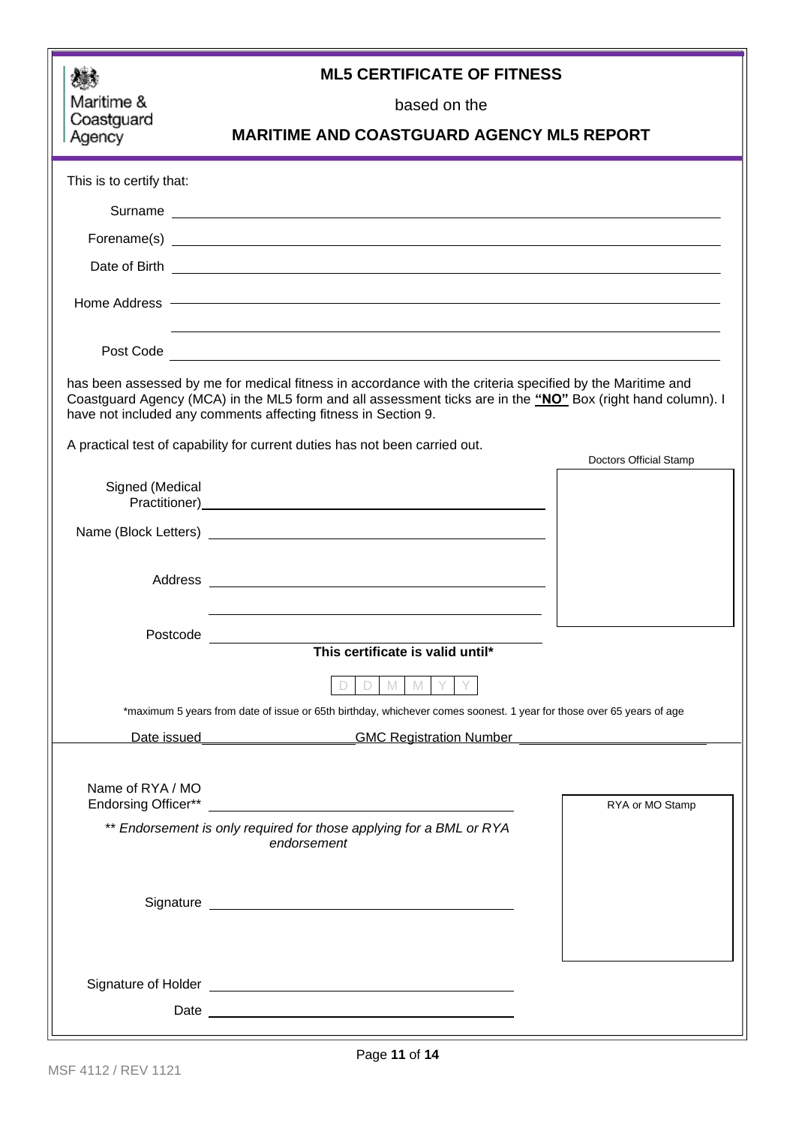|                            | <b>ML5 CERTIFICATE OF FITNESS</b>                                                                                                                                                                                                                                                          |                        |  |
|----------------------------|--------------------------------------------------------------------------------------------------------------------------------------------------------------------------------------------------------------------------------------------------------------------------------------------|------------------------|--|
| Maritime &                 | based on the                                                                                                                                                                                                                                                                               |                        |  |
| Coastguard<br>Agency       | <b>MARITIME AND COASTGUARD AGENCY ML5 REPORT</b>                                                                                                                                                                                                                                           |                        |  |
| This is to certify that:   |                                                                                                                                                                                                                                                                                            |                        |  |
|                            |                                                                                                                                                                                                                                                                                            |                        |  |
|                            |                                                                                                                                                                                                                                                                                            |                        |  |
|                            |                                                                                                                                                                                                                                                                                            |                        |  |
|                            |                                                                                                                                                                                                                                                                                            |                        |  |
|                            |                                                                                                                                                                                                                                                                                            |                        |  |
| Post Code                  | ,我们也不会有什么。""我们的人,我们也不会有什么?""我们的人,我们也不会有什么?""我们的人,我们也不会有什么?""我们的人,我们也不会有什么?""我们的人                                                                                                                                                                                                           |                        |  |
|                            | <u> 1989 - Andrea Stadt Britain, fransk politik (f. 1989)</u>                                                                                                                                                                                                                              |                        |  |
|                            | has been assessed by me for medical fitness in accordance with the criteria specified by the Maritime and<br>Coastguard Agency (MCA) in the ML5 form and all assessment ticks are in the "NO" Box (right hand column). I<br>have not included any comments affecting fitness in Section 9. |                        |  |
|                            | A practical test of capability for current duties has not been carried out.                                                                                                                                                                                                                |                        |  |
|                            |                                                                                                                                                                                                                                                                                            | Doctors Official Stamp |  |
| Signed (Medical            |                                                                                                                                                                                                                                                                                            |                        |  |
|                            |                                                                                                                                                                                                                                                                                            |                        |  |
|                            |                                                                                                                                                                                                                                                                                            |                        |  |
|                            |                                                                                                                                                                                                                                                                                            |                        |  |
|                            | <u> 1989 - Johann Barn, amerikansk politiker (d. 1989)</u>                                                                                                                                                                                                                                 |                        |  |
|                            | Postcode<br>This certificate is valid until*                                                                                                                                                                                                                                               |                        |  |
|                            |                                                                                                                                                                                                                                                                                            |                        |  |
|                            | MMYY<br>D<br>*maximum 5 years from date of issue or 65th birthday, whichever comes soonest. 1 year for those over 65 years of age                                                                                                                                                          |                        |  |
|                            | Date issued________________________GMC Registration Number ______________________                                                                                                                                                                                                          |                        |  |
|                            |                                                                                                                                                                                                                                                                                            |                        |  |
| Name of RYA / MO           |                                                                                                                                                                                                                                                                                            |                        |  |
| <b>Endorsing Officer**</b> |                                                                                                                                                                                                                                                                                            | RYA or MO Stamp        |  |
|                            | ** Endorsement is only required for those applying for a BML or RYA<br>endorsement                                                                                                                                                                                                         |                        |  |
|                            |                                                                                                                                                                                                                                                                                            |                        |  |
|                            |                                                                                                                                                                                                                                                                                            |                        |  |
|                            |                                                                                                                                                                                                                                                                                            |                        |  |
|                            |                                                                                                                                                                                                                                                                                            |                        |  |
|                            |                                                                                                                                                                                                                                                                                            |                        |  |
|                            |                                                                                                                                                                                                                                                                                            |                        |  |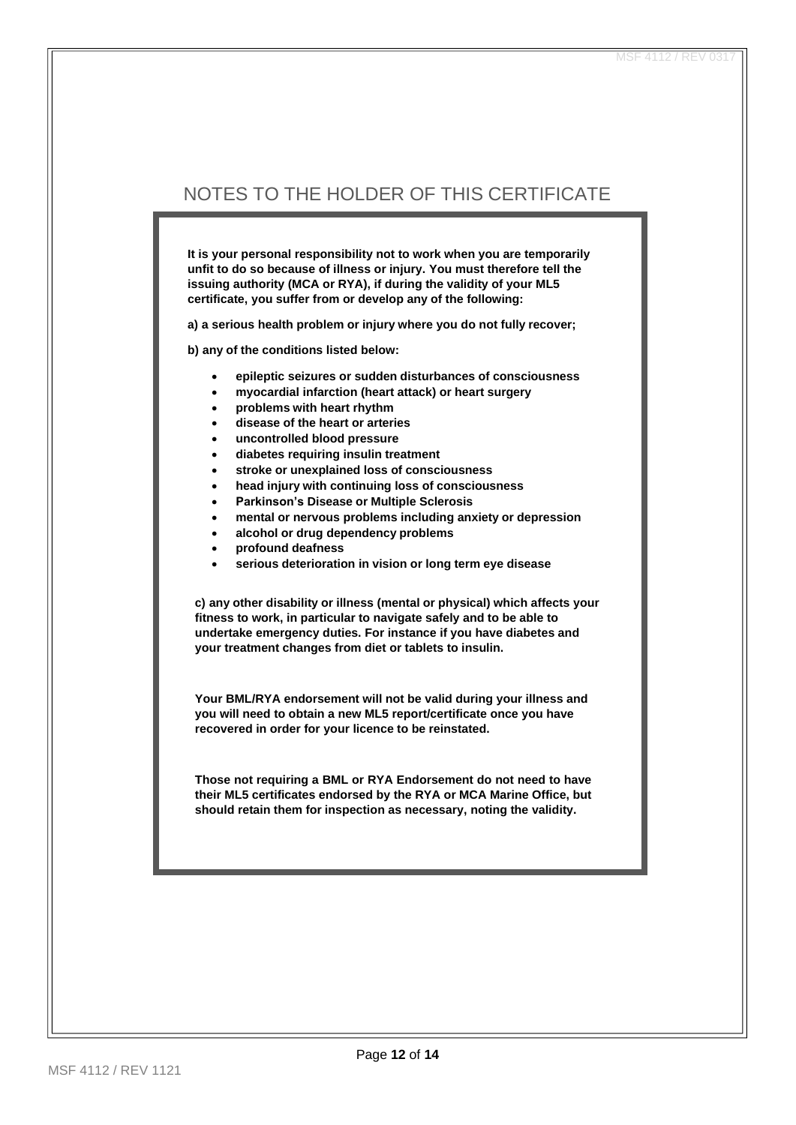## NOTES TO THE HOLDER OF THIS CERTIFICATE

**It is your personal responsibility not to work when you are temporarily unfit to do so because of illness or injury. You must therefore tell the issuing authority (MCA or RYA), if during the validity of your ML5 certificate, you suffer from or develop any of the following:**

**a) a serious health problem or injury where you do not fully recover;**

**b) any of the conditions listed below:**

- **epileptic seizures or sudden disturbances of consciousness**
- **myocardial infarction (heart attack) or heart surgery**
- **problems with heart rhythm**
- **disease of the heart or arteries**
- **uncontrolled blood pressure**
- **diabetes requiring insulin treatment**
- **stroke or unexplained loss of consciousness**
- **head injury with continuing loss of consciousness**
- **Parkinson's Disease or Multiple Sclerosis**
- **mental or nervous problems including anxiety or depression**
- **alcohol or drug dependency problems**
- **profound deafness**
- **serious deterioration in vision or long term eye disease**

**c) any other disability or illness (mental or physical) which affects your fitness to work, in particular to navigate safely and to be able to undertake emergency duties. For instance if you have diabetes and your treatment changes from diet or tablets to insulin.**

**Your BML/RYA endorsement will not be valid during your illness and you will need to obtain a new ML5 report/certificate once you have recovered in order for your licence to be reinstated.**

**Those not requiring a BML or RYA Endorsement do not need to have their ML5 certificates endorsed by the RYA or MCA Marine Office, but should retain them for inspection as necessary, noting the validity.**